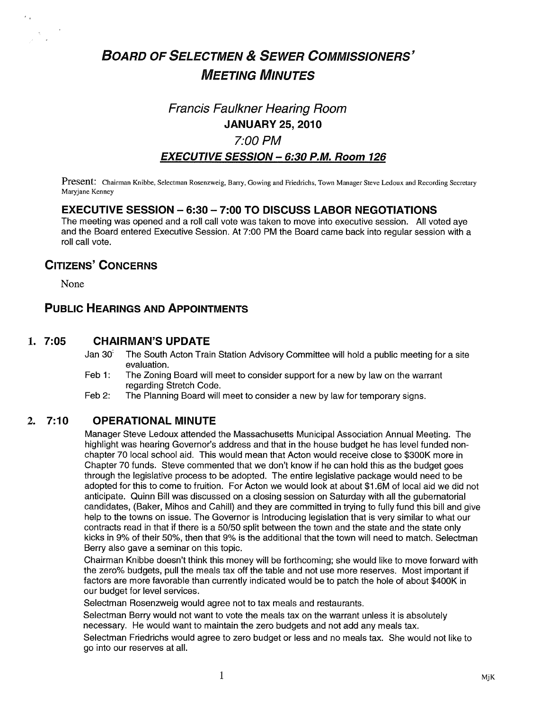# BOARD OF SELECTMEN & SEWER COMMISSIONERS' MEETING MINUTES

# Francis Faulkner Hearing Room JANUARY 25, 2010

## 7:00 PM

#### EXECUTIVE SESSION - 6:30 P.M. Room 126

Present: Chairman Knibbe, Selectman Rosenzweig, Barry, Gowing and Friedrichs, Town Manager Steve Ledoux and Recording Secretary Maryjane Kenney

#### EXECUTIVE SESSION — 6:30 — 7:00 TO DISCUSS LABOR NEGOTIATIONS

The meeting was opened and a roll call vote was taken to move into executive session. All voted aye and the Board entered Executive Session. At 7:00 PM the Board came back into regular session with a roll call vote.

### CITIzENs' CONCERNS

None

×.

### PUBLIC HEARINGS AND APPOINTMENTS

#### 1. 7:05 CHAIRMAN'S UPDATE

- Jan 30<sup>:</sup> The South Acton Train Station Advisory Committee will hold a public meeting for a site evaluation.
- Feb 1: The Zoning Board will meet to consider support for a new by law on the warrant regarding Stretch Code.
- Feb 2: The Planning Board will meet to consider a new by law for temporary signs.

### 2. 7:10 OPERATIONAL MINUTE

Manager Steve Ledoux attended the Massachusetts Municipal Association Annual Meeting. The highlight was hearing Governor's address and that in the house budget he has level funded nonchapter 70 local school aid. This would mean that Acton would receive close to \$300K more in Chapter 70 funds. Steve commented that we don't know if he can hold this as the budget goes through the legislative process to be adopted. The entire legislative package would need to be adopted for this to come to fruition. For Acton we would look at about \$1 .6M of local aid we did not anticipate. Quinn Bill was discussed on a closing session on Saturday with all the gubernatorial candidates, (Baker, Mihos and Cahill) and they are committed in trying to fully fund this bill and give help to the towns on issue. The Governor is Introducing legislation that is very similar to what our contracts read in that if there is a 50/50 split between the town and the state and the state only kicks in 9% of their 50%, then that 9% is the additional that the town will need to match. Selectman Berry also gave a seminar on this topic.

Chairman Knibbe doesn't think this money will be forthcoming; she would like to move forward with the zero% budgets, pull the meals tax off the table and not use more reserves. Most important if factors are more favorable than currently indicated would be to patch the hole of about \$400K in our budget for level services.

Selectman Rosenzweig would agree not to tax meals and restaurants.

Selectman Berry would not want to vote the meals tax on the warrant unless it is absolutely necessary. He would want to maintain the zero budgets and not add any meals tax.

Selectman Friedrichs would agree to zero budget or less and no meals tax. She would not like to go into our reserves at all.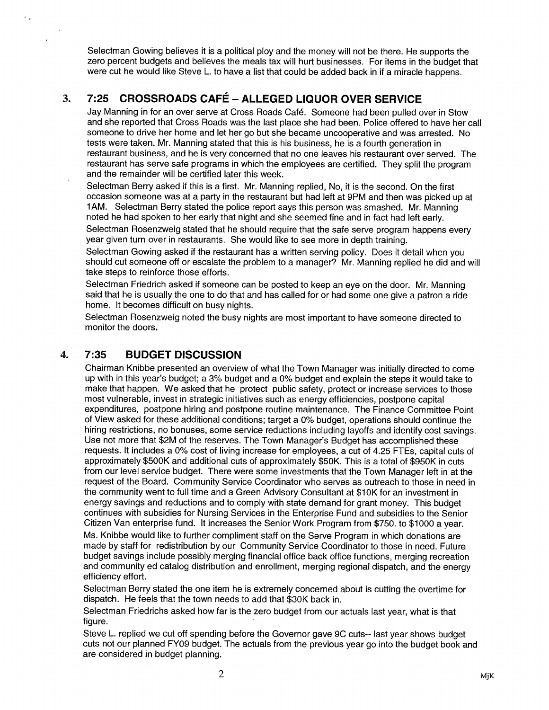Selectman Gowing believes it is a political ploy and the money will not be there. He supports the zero percent budgets and believes the meals tax will hurt businesses. For items in the budget that were cut he would like Steve L. to have a list that could be added back in if a miracle happens.

# 3. 7:25 CROSSROADS CAFÉ -ALLEGED LIQUOR OVER SERVICE

Jay Manning in for an over serve at Cross Roads Café. Someone had been pulled over in Stow and she reported that Cross Roads was the last place she had been. Police offered to have her call someone to drive her home and let her go but she became uncooperative and was arrested. No tests were taken. Mr. Manning stated that this is his business, he is a fourth generation in restaurant business, and he is very concerned that no one leaves his restaurant over served. The restaurant has serve safe programs in which the employees are certified. They split the program and the remainder will be certified later this week.

Selectman Berry asked if this is a first. Mr. Manning replied, No, it is the second. On the first occasion someone was at a party in the restaurant but had left at 9PM and then was picked up at lAM. Selectman Berry stated the police report says this person was smashed. Mr. Manning noted he had spoken to her early that night and she seemed fine and in fact had left early.

Selectman Rosenzweig stated that he should require that the safe serve program happens every year given turn over in restaurants. She would like to see more in depth training.

Selectman Gowing asked if the restaurant has a written serving policy. Does it detail when you should cut someone off or escalate the problem to a manager? Mr. Manning replied he did and will take steps to reinforce those efforts.

Selectman Friedrich asked if someone can be posted to keep an eye on the door. Mr. Manning said that he is usually the one to do that and has called for or had some one give a patron a ride home. It becomes difficult on busy nights.

Selectman Rosenzweig noted the busy nights are most important to have someone directed to monitor the doors.

#### 4. 7:35 BUDGET DISCUSSION

×,

Chairman Knibbe presented an overview of what the Town Manager was initially directed to come up with in this year's budget; a 3% budget and a 0% budget and explain the steps it would take to make that happen. We asked that he protect public safety, protect or increase services to those most vulnerable, invest in strategic initiatives such as energy efficiencies, postpone capital expenditures, postpone hiring and postpone routine maintenance. The Finance Committee Point of View asked for these additional conditions; target a 0% budget, operations should continue the hiring restrictions, no bonuses, some service reductions including layoffs and identify cost savings. Use not more that \$2M of the reserves. The Town Manager's Budget has accomplished these requests. It includes a 0% cost of living increase for employees, a cut of 4.25 FTEs, capital cuts of approximately \$500K and additional cuts of approximately \$50K. This is a total of \$950K in cuts from our level service budget. There were some investments that the Town Manager left in at the request of the Board. Community Service Coordinator who serves as outreach to those in need in the community went to full time and a Green Advisory Consultant at \$1OK for an investment in energy savings and reductions and to comply with state demand for grant money. This budget continues with subsidies for Nursing Services in the Enterprise Fund and subsidies to the Senior Citizen Van enterprise fund. It increases the Senior Work Program from \$750. to \$1000 a year.

Ms. Knibbe would like to further compliment staff on the Serve Program in which donations are made by staff for redistribution by our Community Service Coordinator to those in need. Future budget savings include possibly merging financial office back office functions, merging recreation and community ed catalog distribution and enrollment, merging regional dispatch, and the energy efficiency effort.

Selectman Berry stated the one item he is extremely concerned about is cutting the overtime for dispatch. He feels that the town needs to add that \$30K back in.

Selectman Friedrichs asked how far is the zero budget from our actuals last year, what is that figure.

Steve L. replied we cut off spending before the Governor gave 9C cuts-- last year shows budget cuts not our planned FY09 budget. The actuals from the previous year go into the budget book and are considered in budget planning.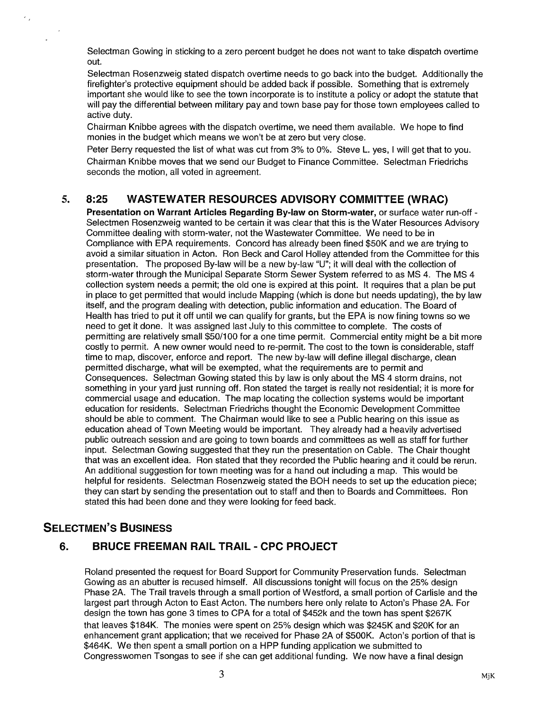Selectman Gowing in sticking to a zero percent budget he does not want to take dispatch overtime out.

Selectman Rosenzweig stated dispatch overtime needs to go back into the budget. Additionally the firefighter's protective equipment should be added back if possible. Something that is extremely important she would like to see the town incorporate is to institute a policy or adopt the statute that will pay the differential between military pay and town base pay for those town employees called to active duty.

Chairman Knibbe agrees with the dispatch overtime, we need them available. We hope to find monies in the budget which means we won't be at zero but very close.

Peter Berry requested the list of what was cut from 3% to 0%. Steve L. yes, <sup>I</sup> will get that to you. Chairman Knibbe moves that we send our Budget to Finance Committee. Selectman Friedrichs seconds the motion, all voted in agreement.

#### 5. 8:25 WASTEWATER RESOURCES ADVISORY COMMITTEE (WRAC)

Presentation on Warrant Articles Regarding By-law on Storm-water, or surface water run-off -Selectmen Rosenzweig wanted to be certain it was clear that this is the Water Resources Advisory Committee dealing with storm-water, not the Wastewater Committee. We need to be in Compliance with EPA requirements. Concord has already been fined \$50K and we are trying to avoid a similar situation in Acton. Ron Beck and Carol Holley attended from the Committee for this presentation. The proposed By-law will be a new by-law "U"; it will deal with the collection of storm-water through the Municipal Separate Storm Sewer System referred to as MS 4. The MS 4 collection system needs a permit; the old one is expired at this point. It requires that a plan be put in place to get permitted that would include Mapping (which is done but needs updating), the by law itself, and the program dealing with detection, public information and education. The Board of Health has tried to put it off until we can qualify for grants, but the EPA is now fining towns so we need to get it done. It was assigned last July to this committee to complete. The costs of permitting are relatively small \$50/100 for a one time permit. Commercial entity might be a bit more costly to permit. A new owner would need to re-permit. The cost to the town is considerable, staff time to map, discover, enforce and report. The new by-law will define illegal discharge, clean permitted discharge, what will be exempted, what the requirements are to permit and Consequences. Selectman Gowing stated this by law is only about the MS 4 storm drains, not something in your yard just running off. Ron stated the target is really not residential; it is more for commercial usage and education. The map locating the collection systems would be important education for residents. Selectman Friedrichs thought the Economic Development Committee should be able to comment. The Chairman would like to see a Public hearing on this issue as education ahead of Town Meeting would be important. They already had a heavily advertised public outreach session and are going to town boards and committees as well as staff for further input. Selectman Gowing suggested that they run the presentation on Cable. The Chair thought that was an excellent idea. Ron stated that they recorded the Public hearing and it could be rerun. An additional suggestion for town meeting was for a hand out including a map. This would be helpful for residents. Selectman Rosenzweig stated the BOH needs to set up the education piece; they can start by sending the presentation out to staff and then to Boards and Committees. Ron stated this had been done and they were looking for feed back.

#### SELECTMEN'S BUSINESS

J.

#### 6. BRUCE FREEMAN RAIL TRAIL - CPC PROJECT

Roland presented the request for Board Support for Community Preservation funds. Selectman Gowing as an abutter is recused himself. All discussions tonight will focus on the 25% design Phase 2A. The Trail travels through a small portion of Westford, a small portion of Carlisle and the largest part through Acton to East Acton. The numbers here only relate to Acton's Phase 2A. For design the town has gone 3 times to CPA for a total of \$452k and the town has spent \$267K that leaves \$1 84K. The monies were spent on 25% design which was \$245K and \$20K for an enhancement grant application; that we received for Phase 2A of \$500K. Acton's portion of that is \$464K. We then spent a small portion on a HPP funding application we submitted to Congresswomen Tsongas to see if she can get additional funding. We now have a final design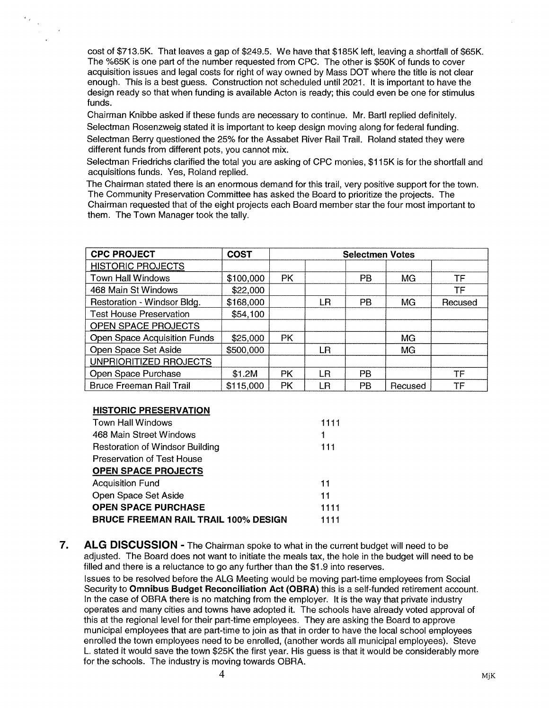cost of \$713.5K. That leaves a gap of \$249.5. We have that \$185K left, leaving a shortfall of \$65K. The %65K is one part of the number requested from CPC. The other is \$50K of funds to cover acquisition issues and legal costs for right of way owned by Mass DOT where the title is not clear enough. This is a best guess. Construction not scheduled until 2021. It is important to have the design ready so that when funding is available Acton is ready; this could even be one for stimulus funds.

Chairman Knibbe asked if these funds are necessary to continue. Mr. Bartl replied definitely. Selectman Rosenzweig stated it is important to keep design moving along for federal funding.

Selectman Berry questioned the 25% for the Assabet River Rail Trail. Roland stated they were different funds from different pots, you cannot mix.

Selectman Friedrichs clarified the total you are asking of CPC monies, \$1 15K is for the shortfall and acquisitions funds. Yes, Roland replied.

The Chairman stated there is an enormous demand for this trail, very positive support for the town. The Community Preservation Committee has asked the Board to prioritize the projects. The Chairman requested that of the eight projects each Board member star the four most important to them. The Town Manager took the tally.

| <b>CPC PROJECT</b>              | <b>COST</b> | <b>Selectmen Votes</b> |     |           |           |         |
|---------------------------------|-------------|------------------------|-----|-----------|-----------|---------|
| <b>HISTORIC PROJECTS</b>        |             |                        |     |           |           |         |
| Town Hall Windows               | \$100,000   | <b>PK</b>              |     | <b>PB</b> | MG        | TF      |
| 468 Main St Windows             | \$22,000    |                        |     |           |           | TF      |
| Restoration - Windsor Bldg.     | \$168,000   |                        | LR  | <b>PB</b> | <b>MG</b> | Recused |
| <b>Test House Preservation</b>  | \$54,100    |                        |     |           |           |         |
| OPEN SPACE PROJECTS             |             |                        |     |           |           |         |
| Open Space Acquisition Funds    | \$25,000    | <b>PK</b>              |     |           | MG        |         |
| Open Space Set Aside            | \$500,000   |                        | LR. |           | MG        |         |
| UNPRIORITIZED RROJECTS          |             |                        |     |           |           |         |
| Open Space Purchase             | \$1.2M      | <b>PK</b>              | LR  | <b>PB</b> |           | TF      |
| <b>Bruce Freeman Rail Trail</b> | \$115,000   | PK                     | LR  | <b>PB</b> | Recused   | TF      |

#### HISTORIC PRESERVATION

 $\epsilon_{\rm 2}$ 

| <b>Town Hall Windows</b>                    | 1111 |
|---------------------------------------------|------|
| 468 Main Street Windows                     | 1    |
| <b>Restoration of Windsor Building</b>      | 111  |
| Preservation of Test House                  |      |
| <b>OPEN SPACE PROJECTS</b>                  |      |
| <b>Acquisition Fund</b>                     | 11   |
| Open Space Set Aside                        | 11   |
| <b>OPEN SPACE PURCHASE</b>                  | 1111 |
| <b>BRUCE FREEMAN RAIL TRAIL 100% DESIGN</b> | 1111 |

7. ALG DISCUSSION - The Chairman spoke to what in the current budget will need to be adjusted. The Board does not want to initiate the meals tax, the hole in the budget will need to be filled and there is a reluctance to go any further than the \$1.9 into reserves.

Issues to be resolved before the ALG Meeting would be moving part-time employees from Social Security to Omnibus Budget Reconciliation Act (OBRA) this is a self-funded retirement account. In the case of OBRA there is no matching from the employer. It is the way that private industry operates and many cities and towns have adopted it. The schools have already voted approval of this at the regional level for their part-time employees. They are asking the Board to approve municipal employees that are part-time to join as that in order to have the local school employees enrolled the town employees need to be enrolled, (another words all municipal employees). Steve L. stated it would save the town \$25K the first year. His guess is that it would be considerably more for the schools. The industry is moving towards OBRA.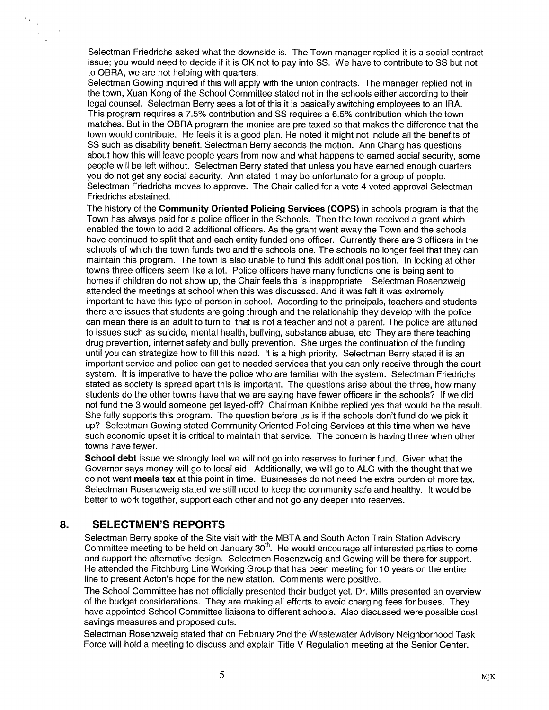Selectman Friedrichs asked what the downside is. The Town manager replied it is a social contract issue; you would need to decide if it is OK not to pay into SS. We have to contribute to SS but not to OBRA, we are not helping with quarters.

Selectman Gowing inquired if this will apply with the union contracts. The manager replied not in the town, Xuan Kong of the School Committee stated not in the schools either according to their legal counsel. Selectman Berry sees a lot of this it is basically switching employees to an IRA. This program requires a 7.5% contribution and SS requires a 6.5% contribution which the town matches. But in the OBRA program the monies are pre taxed so that makes the difference that the town would contribute. He feels it is a good plan. He noted it might not include all the benefits of SS such as disability benefit. Selectman Berry seconds the motion. Ann Chang has questions about how this will leave people years from now and what happens to earned social security, some people will be left without. Selectman Berry stated that unless you have earned enough quarters you do not get any social security. Ann stated it may be unfortunate for a group of people. Selectman Friedrichs moves to approve. The Chair called for a vote 4 voted approval Selectman Friedrichs abstained.

The history of the Community Oriented Policing Services (COPS) in schools program is that the Town has always paid for a police officer in the Schools. Then the town received a grant which enabled the town to add 2 additional officers. As the grant went away the Town and the schools have continued to split that and each entity funded one officer. Currently there are 3 officers in the schools of which the town funds two and the schools one. The schools no longer feel that they can maintain this program. The town is also unable to fund this additional position. In looking at other towns three officers seem like a lot. Police officers have many functions one is being sent to homes if children do not show up, the Chair feels this is inappropriate. Selectman Rosenzweig attended the meetings at school when this was discussed. And it was felt it was extremely important to have this type of person in school. According to the principals, teachers and students there are issues that students are going through and the relationship they develop with the police can mean there is an adult to turn to that is not a teacher and not a parent. The police are attuned to issues such as suicide, mental health, bullying, substance abuse, etc. They are there teaching drug prevention, internet safety and bully prevention. She urges the continuation of the funding until you can strategize how to fill this need. It is a high priority. Selectman Berry stated it is an important service and police can get to needed services that you can only receive through the court system. It is imperative to have the police who are familiar with the system. Selectman Friedrichs stated as society is spread apart this is important. The questions arise about the three, how many students do the other towns have that we are saying have fewer officers in the schools? If we did not fund the 3 would someone get layed-off? Chairman Knibbe replied yes that would be the result. She fully supports this program. The question before us is if the schools don't fund do we pick it up? Selectman Gowing stated Community Oriented Policing Services at this time when we have such economic upset it is critical to maintain that service. The concern is having three when other towns have fewer.

School debt issue we strongly feel we will not go into reserves to further fund. Given what the Governor says money will go to local aid. Additionally, we will go to ALG with the thought that we do not want meals tax at this point in time. Businesses do not need the extra burden of more tax. Selectman Rosenzweig stated we still need to keep the community safe and healthy. It would be better to work together, support each other and not go any deeper into reserves.

#### 8. SELECTMEN'S REPORTS

 $\frac{1}{\sqrt{2}}\sum_{\substack{\alpha\in\mathbb{Z}^d\\ \alpha\neq\beta}}\frac{1}{\alpha\sqrt{2}}\sum_{\substack{\alpha\in\mathbb{Z}^d\\ \alpha\neq\beta}}\frac{1}{\alpha\sqrt{2}}\sum_{\substack{\alpha\in\mathbb{Z}^d\\ \alpha\neq\beta}}\frac{1}{\alpha\sqrt{2}}\sum_{\substack{\alpha\in\mathbb{Z}^d\\ \alpha\neq\beta}}\frac{1}{\alpha\sqrt{2}}\sum_{\substack{\alpha\in\mathbb{Z}^d\\ \alpha\neq\beta}}\frac{1}{\alpha\sqrt{2}}\sum_{\substack{\alpha\in\mathbb{Z$  $\sim$ 

> Selectman Berry spoke of the Site visit with the MBTA and South Acton Train Station Advisory Committee meeting to be held on January  $30<sup>th</sup>$ . He would encourage all interested parties to come and support the alternative design. Selectmen Rosenzweig and Gowing will be there for support. He attended the Fitchburg Line Working Group that has been meeting for 10 years on the entire line to present Acton's hope for the new station. Comments were positive.

> The School Committee has not officially presented their budget yet. Dr. Mills presented an overview of the budget considerations. They are making all efforts to avoid charging fees for buses. They have appointed School Committee liaisons to different schools. Also discussed were possible cost savings measures and proposed cuts.

Selectman Rosenzweig stated that on February 2nd the Wastewater Advisory Neighborhood Task Force will hold a meeting to discuss and explain Title <sup>V</sup> Regulation meeting at the Senior Center.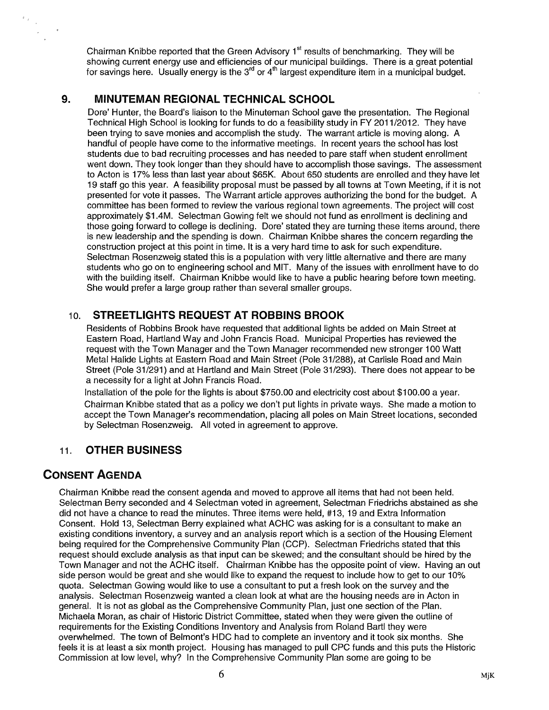Chairman Knibbe reported that the Green Advisory  $1<sup>st</sup>$  results of benchmarking. They will be showing current energy use and efficiencies of our municipal buildings. There is a great potential showing current energy use and efficiencies of our municipal buildings. There is a great potenti<br>for savings here. Usually energy is the 3<sup>rd</sup> or 4<sup>th</sup> largest expenditure item in a municipal budget.

#### 9. MINUTEMAN REGIONAL TECHNICAL SCHOOL

Dore' Hunter, the Board's liaison to the Minuteman School gave the presentation. The Regional Technical High School is looking for funds to do a feasibility study in FY 2011/2012. They have been trying to save monies and accomplish the study. The warrant article is moving along. A handful of people have come to the informative meetings. In recent years the school has lost students due to bad recruiting processes and has needed to pare staff when student enrollment went down. They took longer than they should have to accomplish those savings. The assessment to Acton is 17% less than last year about \$65K. About 650 students are enrolled and they have let 19 staff go this year. A feasibility proposal must be passed by all towns at Town Meeting, if it is not presented for vote it passes. The Warrant article approves authorizing the bond for the budget. A committee has been formed to review the various regional town agreements. The project will cost approximately \$1 .4M. Selectman Gowing felt we should not fund as enrollment is declining and those going forward to college is declining. Dore' stated they are turning these items around, there is new leadership and the spending is down. Chairman Knibbe shares the concern regarding the construction project at this point in time. It is a very hard time to ask for such expenditure. Selectman Rosenzweig stated this is a population with very little alternative and there are many students who go on to engineering school and MIT. Many of the issues with enrollment have to do with the building itself. Chairman Knibbe would like to have a public hearing before town meeting. She would prefer a large group rather than several smaller groups.

#### 10. STREETLIGHTS REQUEST AT ROBBINS BROOK

Residents of Robbins Brook have requested that additional lights be added on Main Street at Eastern Road, Hartland Way and John Francis Road. Municipal Properties has reviewed the request with the Town Manager and the Town Manager recommended new stronger 100 Watt Metal Halide Lights at Eastern Road and Main Street (Pole 31/288), at Carlisle Road and Main Street (Pole 31/291) and at Hartland and Main Street (Pole 31/293). There does not appear to be a necessity for a light at John Francis Road.

Installation of the pole for the lights is about \$750.00 and electricity cost about \$100.00 a year. Chairman Knibbe stated that as a policy we don't put lights in private ways. She made a motion to accept the Town Manager's recommendation, placing all poles on Main Street locations, seconded by Selectman Rosenzweig. All voted in agreement to approve.

### 11. OTHER BUSINESS

### CONSENT AGENDA

 $\frac{1}{\left\| \mathcal{L} \right\|_{\mathcal{L}^{2}}^{2}}$  $\sim$ 

> Chairman Knibbe read the consent agenda and moved to approve all items that had not been held. Selectman Berry seconded and 4 Selectman voted in agreement, Selectman Friedrichs abstained as she did not have a chance to read the minutes. Three items were held, #13, 19 and Extra Information Consent. Hold 13, Selectman Berry explained what ACHC was asking for is a consultant to make an existing conditions inventory, a survey and an analysis report which is a section of the Housing Element being required for the Comprehensive Community Plan (CCP). Selectman Friedrichs stated that this request should exclude analysis as that input can be skewed; and the consultant should be hired by the Town Manager and not the ACHC itself. Chairman Knibbe has the opposite point of view. Having an out side person would be great and she would like to expand the request to include how to get to our 10% quota. Selectman Gowing would like to use a consultant to put a fresh look on the survey and the analysis. Selectman Rosenzweig wanted a clean look at what are the housing needs are in Acton in general. It is not as global as the Comprehensive Community Plan, just one section of the Plan. Michaela Moran, as chair of Historic District Committee, stated when they were given the outline of requirements for the Existing Conditions Inventory and Analysis from Roland Bartl they were overwhelmed. The town of Belmont's HDC had to complete an inventory and it took six months. She feels it is at least a six month project. Housing has managed to pull CPC funds and this puts the Historic Commission at low level, why? In the Comprehensive Community Plan some are going to be